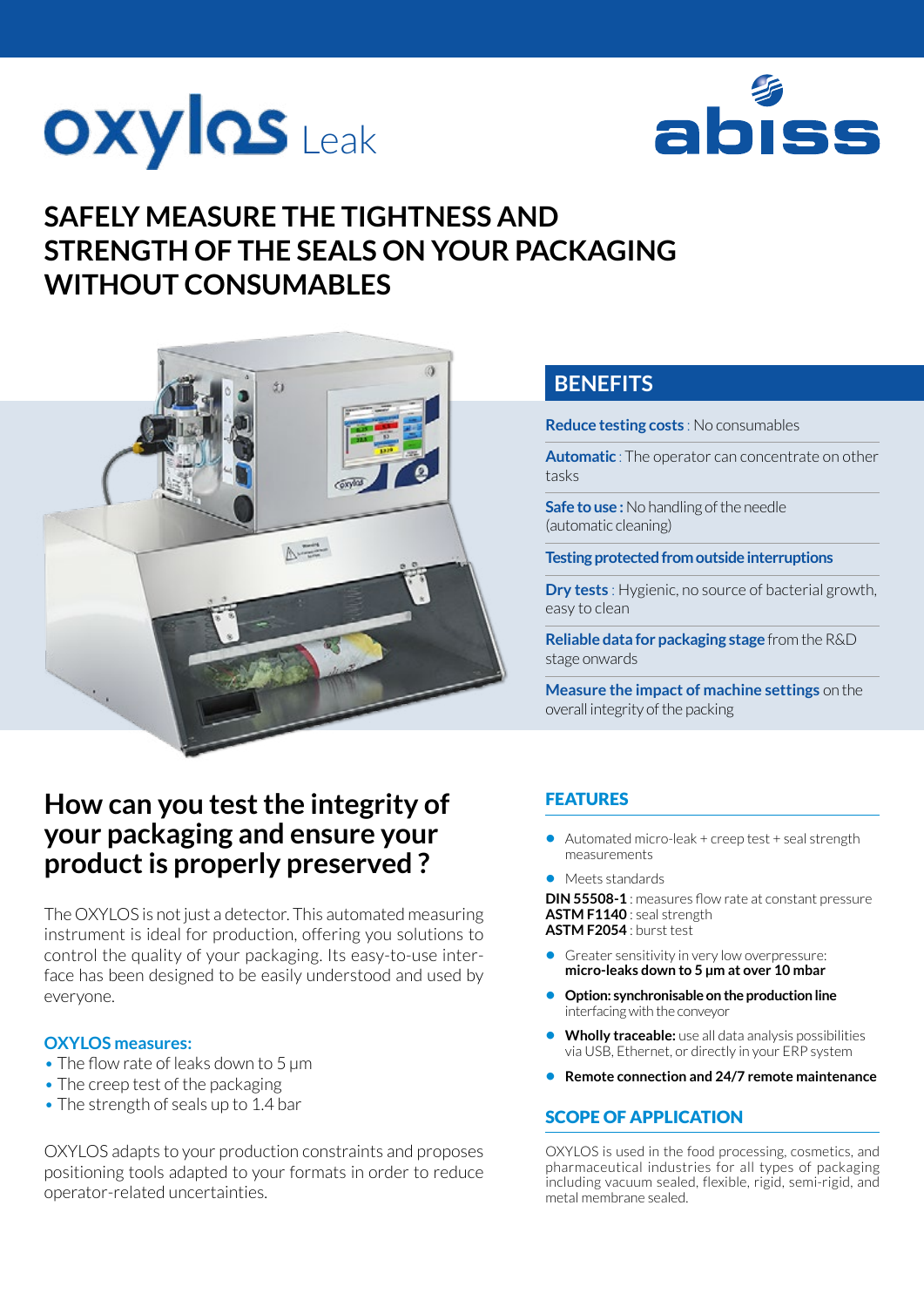



# **SAFELY MEASURE THE TIGHTNESS AND STRENGTH OF THE SEALS ON YOUR PACKAGING WITHOUT CONSUMABLES**



# **How can you test the integrity of your packaging and ensure your product is properly preserved ?**

The OXYLOS is not just a detector. This automated measuring instrument is ideal for production, offering you solutions to control the quality of your packaging. Its easy-to-use interface has been designed to be easily understood and used by everyone.

#### **OXYLOS measures:**

- The flow rate of leaks down to 5 um
- The creep test of the packaging
- The strength of seals up to 1.4 bar

OXYLOS adapts to your production constraints and proposes positioning tools adapted to your formats in order to reduce operator-related uncertainties.

## **BENEFITS**

**Reduce testing costs** : No consumables

**Automatic** : The operator can concentrate on other tasks

**Safe to use :** No handling of the needle (automatic cleaning)

**Testing protected from outside interruptions**

**Dry tests** : Hygienic, no source of bacterial growth, easy to clean

**Reliable data for packaging stage** from the R&D stage onwards

**Measure the impact of machine settings** on the overall integrity of the packing

## **FEATURES**

- **•** Automated micro-leak + creep test + seal strength measurements
- **•** Meets standards

**DIN 55508-1** : measures flow rate at constant pressure **ASTM F1140** : seal strength **ASTM F2054** : burst test

- 
- **•** Greater sensitivity in very low overpressure: **micro-leaks down to 5 μm at over 10 mbar**
- **• Option: synchronisable on the production line**  interfacing with the conveyor
- **• Wholly traceable:** use all data analysis possibilities via USB, Ethernet, or directly in your ERP system
- **• Remote connection and 24/7 remote maintenance**

#### SCOPE OF APPLICATION

OXYLOS is used in the food processing, cosmetics, and pharmaceutical industries for all types of packaging including vacuum sealed, flexible, rigid, semi-rigid, and metal membrane sealed.